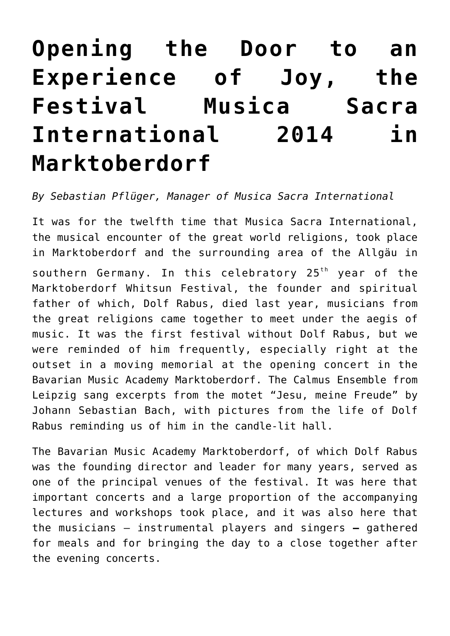## **[Opening the Door to an](http://icb.ifcm.net/opening-the-door-to-an-experience-of-joy-the-festival-musica-sacra-international-2014-in-marktoberdorf/) [Experience of Joy, the](http://icb.ifcm.net/opening-the-door-to-an-experience-of-joy-the-festival-musica-sacra-international-2014-in-marktoberdorf/) [Festival Musica Sacra](http://icb.ifcm.net/opening-the-door-to-an-experience-of-joy-the-festival-musica-sacra-international-2014-in-marktoberdorf/) [International 2014 in](http://icb.ifcm.net/opening-the-door-to-an-experience-of-joy-the-festival-musica-sacra-international-2014-in-marktoberdorf/) [Marktoberdorf](http://icb.ifcm.net/opening-the-door-to-an-experience-of-joy-the-festival-musica-sacra-international-2014-in-marktoberdorf/)**

## *By Sebastian Pflüger, Manager of Musica Sacra International*

It was for the twelfth time that Musica Sacra International, the musical encounter of the great world religions, took place in Marktoberdorf and the surrounding area of the Allgäu in southern Germany. In this celebratory  $25<sup>th</sup>$  year of the Marktoberdorf Whitsun Festival, the founder and spiritual father of which, Dolf Rabus, died last year, musicians from the great religions came together to meet under the aegis of music. It was the first festival without Dolf Rabus, but we were reminded of him frequently, especially right at the outset in a moving memorial at the opening concert in the Bavarian Music Academy Marktoberdorf. The Calmus Ensemble from Leipzig sang excerpts from the motet "Jesu, meine Freude" by Johann Sebastian Bach, with pictures from the life of Dolf Rabus reminding us of him in the candle-lit hall.

The Bavarian Music Academy Marktoberdorf, of which Dolf Rabus was the founding director and leader for many years, served as one of the principal venues of the festival. It was here that important concerts and a large proportion of the accompanying lectures and workshops took place, and it was also here that the musicians – instrumental players and singers **–** gathered for meals and for bringing the day to a close together after the evening concerts.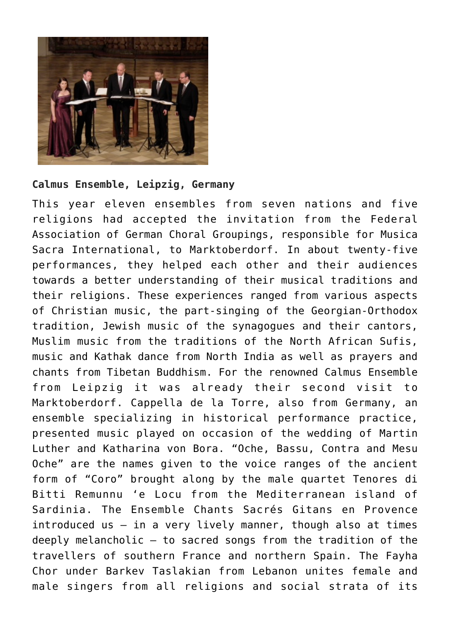

## **Calmus Ensemble, Leipzig, Germany**

This year eleven ensembles from seven nations and five religions had accepted the invitation from the Federal Association of German Choral Groupings, responsible for Musica Sacra International, to Marktoberdorf. In about twenty-five performances, they helped each other and their audiences towards a better understanding of their musical traditions and their religions. These experiences ranged from various aspects of Christian music, the part-singing of the Georgian-Orthodox tradition, Jewish music of the synagogues and their cantors, Muslim music from the traditions of the North African Sufis, music and Kathak dance from North India as well as prayers and chants from Tibetan Buddhism. For the renowned Calmus Ensemble from Leipzig it was already their second visit to Marktoberdorf. Cappella de la Torre, also from Germany, an ensemble specializing in historical performance practice, presented music played on occasion of the wedding of Martin Luther and Katharina von Bora. "Oche, Bassu, Contra and Mesu Oche" are the names given to the voice ranges of the ancient form of "Coro" brought along by the male quartet Tenores di Bitti Remunnu 'e Locu from the Mediterranean island of Sardinia. The Ensemble Chants Sacrés Gitans en Provence introduced us – in a very lively manner, though also at times deeply melancholic – to sacred songs from the tradition of the travellers of southern France and northern Spain. The Fayha Chor under Barkev Taslakian from Lebanon unites female and male singers from all religions and social strata of its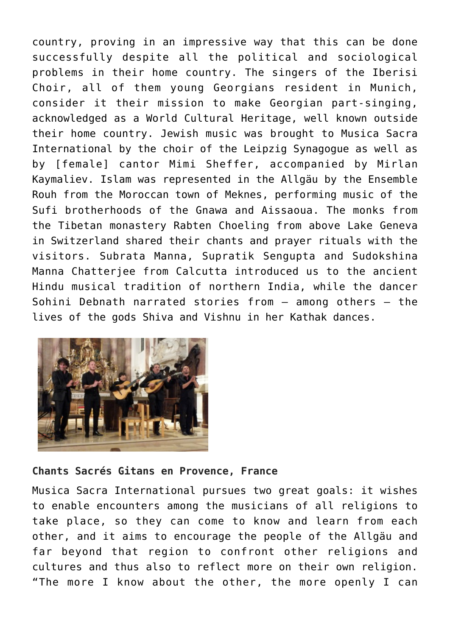country, proving in an impressive way that this can be done successfully despite all the political and sociological problems in their home country. The singers of the Iberisi Choir, all of them young Georgians resident in Munich, consider it their mission to make Georgian part-singing, acknowledged as a World Cultural Heritage, well known outside their home country. Jewish music was brought to Musica Sacra International by the choir of the Leipzig Synagogue as well as by [female] cantor Mimi Sheffer, accompanied by Mirlan Kaymaliev. Islam was represented in the Allgäu by the Ensemble Rouh from the Moroccan town of Meknes, performing music of the Sufi brotherhoods of the Gnawa and Aissaoua. The monks from the Tibetan monastery Rabten Choeling from above Lake Geneva in Switzerland shared their chants and prayer rituals with the visitors. Subrata Manna, Supratik Sengupta and Sudokshina Manna Chatterjee from Calcutta introduced us to the ancient Hindu musical tradition of northern India, while the dancer Sohini Debnath narrated stories from – among others – the lives of the gods Shiva and Vishnu in her Kathak dances.



## **Chants Sacrés Gitans en Provence, France**

Musica Sacra International pursues two great goals: it wishes to enable encounters among the musicians of all religions to take place, so they can come to know and learn from each other, and it aims to encourage the people of the Allgäu and far beyond that region to confront other religions and cultures and thus also to reflect more on their own religion. "The more I know about the other, the more openly I can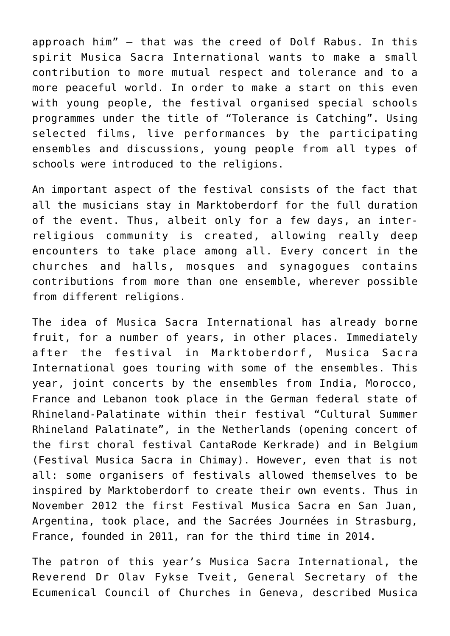approach him" – that was the creed of Dolf Rabus. In this spirit Musica Sacra International wants to make a small contribution to more mutual respect and tolerance and to a more peaceful world. In order to make a start on this even with young people, the festival organised special schools programmes under the title of "Tolerance is Catching". Using selected films, live performances by the participating ensembles and discussions, young people from all types of schools were introduced to the religions.

An important aspect of the festival consists of the fact that all the musicians stay in Marktoberdorf for the full duration of the event. Thus, albeit only for a few days, an interreligious community is created, allowing really deep encounters to take place among all. Every concert in the churches and halls, mosques and synagogues contains contributions from more than one ensemble, wherever possible from different religions.

The idea of Musica Sacra International has already borne fruit, for a number of years, in other places. Immediately after the festival in Marktoberdorf, Musica Sacra International goes touring with some of the ensembles. This year, joint concerts by the ensembles from India, Morocco, France and Lebanon took place in the German federal state of Rhineland-Palatinate within their festival "Cultural Summer Rhineland Palatinate", in the Netherlands (opening concert of the first choral festival CantaRode Kerkrade) and in Belgium (Festival Musica Sacra in Chimay). However, even that is not all: some organisers of festivals allowed themselves to be inspired by Marktoberdorf to create their own events. Thus in November 2012 the first Festival Musica Sacra en San Juan, Argentina, took place, and the Sacrées Journées in Strasburg, France, founded in 2011, ran for the third time in 2014.

The patron of this year's Musica Sacra International, the Reverend Dr Olav Fykse Tveit, General Secretary of the Ecumenical Council of Churches in Geneva, described Musica